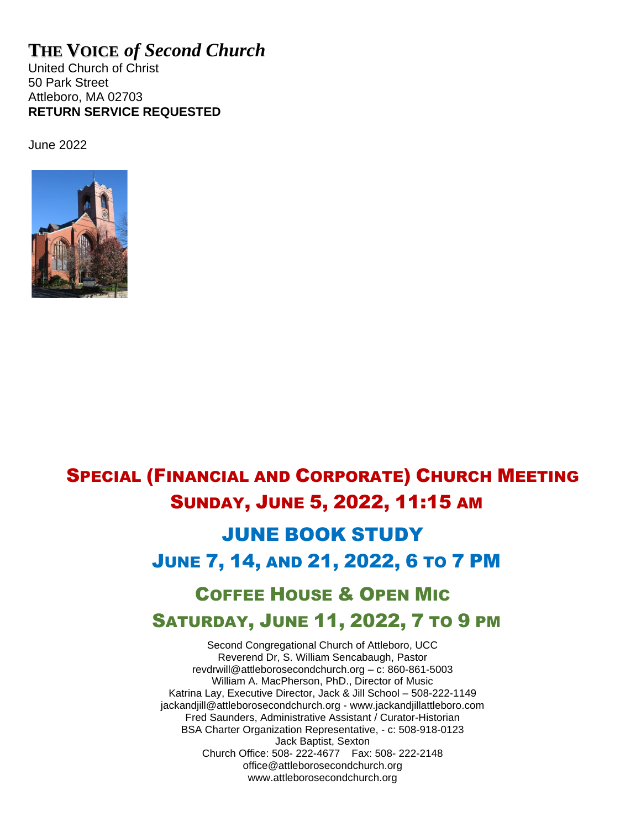# **THE VOICE** *of Second Church*

United Church of Christ 50 Park Street Attleboro, MA 02703 **RETURN SERVICE REQUESTED**

June 2022



# SPECIAL (FINANCIAL AND CORPORATE) CHURCH MEETING SUNDAY, JUNE 5, 2022, 11:15 AM

# JUNE BOOK STUDY JUNE 7, 14, AND 21, 2022, 6 TO 7 PM

# COFFEE HOUSE & OPEN MIC SATURDAY, JUNE 11, 2022, 7 TO 9 PM

Second Congregational Church of Attleboro, UCC Reverend Dr, S. William Sencabaugh, Pastor [revdrwill@attleborosecondchurch.org](mailto:revdrwill@attleborosecondchurch.org) – c: 860-861-5003 William A. MacPherson, PhD., Director of Music Katrina Lay, Executive Director, Jack & Jill School – 508-222-1149 [jackandjill@attleborosecondchurch.org](mailto:jackandjill@attleborosecondchurch.org) - [www.jackandjillattleboro.com](http://www.jackandjillattleboro.com/) Fred Saunders, Administrative Assistant / Curator-Historian BSA Charter Organization Representative, - c: 508-918-0123 Jack Baptist, Sexton Church Office: 508- 222-4677 Fax: 508- 222-2148 [office@attleborosecondchurch.org](mailto:office@attleborosecondchurch.org) [www.attleborosecondchurch.org](http://www.attleborosecondchurch.org/)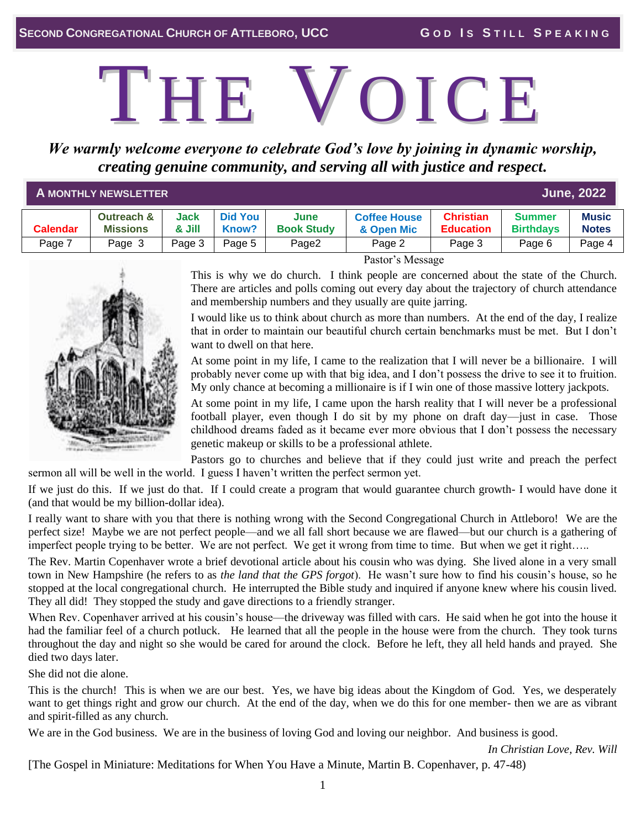# THE VOICE

*We warmly welcome everyone to celebrate God's love by joining in dynamic worship, creating genuine community, and serving all with justice and respect.*

| <b>June, 2022</b><br><b>A MONTHLY NEWSLETTER</b> |                                          |                |                         |                           |                                   |                                      |                            |                              |  |  |  |
|--------------------------------------------------|------------------------------------------|----------------|-------------------------|---------------------------|-----------------------------------|--------------------------------------|----------------------------|------------------------------|--|--|--|
| <b>Calendar</b>                                  | <b>Outreach &amp;</b><br><b>Missions</b> | Jack<br>& Jill | <b>Did You</b><br>Know? | June<br><b>Book Study</b> | <b>Coffee House</b><br>& Open Mic | <b>Christian</b><br><b>Education</b> | Summer<br><b>Birthdavs</b> | <b>Music</b><br><b>Notes</b> |  |  |  |
| Page 7                                           | Page 3                                   | Page 3         | Page 5                  | Page2                     | Page 2                            | Page 3                               | Page 6                     | Page 4                       |  |  |  |



Pastor's Message

This is why we do church. I think people are concerned about the state of the Church. There are articles and polls coming out every day about the trajectory of church attendance and membership numbers and they usually are quite jarring.

I would like us to think about church as more than numbers. At the end of the day, I realize that in order to maintain our beautiful church certain benchmarks must be met. But I don't want to dwell on that here.

At some point in my life, I came to the realization that I will never be a billionaire. I will probably never come up with that big idea, and I don't possess the drive to see it to fruition. My only chance at becoming a millionaire is if I win one of those massive lottery jackpots.

At some point in my life, I came upon the harsh reality that I will never be a professional football player, even though I do sit by my phone on draft day—just in case. Those childhood dreams faded as it became ever more obvious that I don't possess the necessary genetic makeup or skills to be a professional athlete.

Pastors go to churches and believe that if they could just write and preach the perfect sermon all will be well in the world. I guess I haven't written the perfect sermon yet.

If we just do this. If we just do that. If I could create a program that would guarantee church growth- I would have done it (and that would be my billion-dollar idea).

I really want to share with you that there is nothing wrong with the Second Congregational Church in Attleboro! We are the perfect size! Maybe we are not perfect people—and we all fall short because we are flawed—but our church is a gathering of imperfect people trying to be better. We are not perfect. We get it wrong from time to time. But when we get it right…..

The Rev. Martin Copenhaver wrote a brief devotional article about his cousin who was dying. She lived alone in a very small town in New Hampshire (he refers to as *the land that the GPS forgot*). He wasn't sure how to find his cousin's house, so he stopped at the local congregational church. He interrupted the Bible study and inquired if anyone knew where his cousin lived. They all did! They stopped the study and gave directions to a friendly stranger.

When Rev. Copenhaver arrived at his cousin's house—the driveway was filled with cars. He said when he got into the house it had the familiar feel of a church potluck. He learned that all the people in the house were from the church. They took turns throughout the day and night so she would be cared for around the clock. Before he left, they all held hands and prayed. She died two days later.

She did not die alone.

This is the church! This is when we are our best. Yes, we have big ideas about the Kingdom of God. Yes, we desperately want to get things right and grow our church. At the end of the day, when we do this for one member- then we are as vibrant and spirit-filled as any church.

We are in the God business. We are in the business of loving God and loving our neighbor. And business is good.

*In Christian Love, Rev. Will*

[The Gospel in Miniature: Meditations for When You Have a Minute, Martin B. Copenhaver, p. 47-48)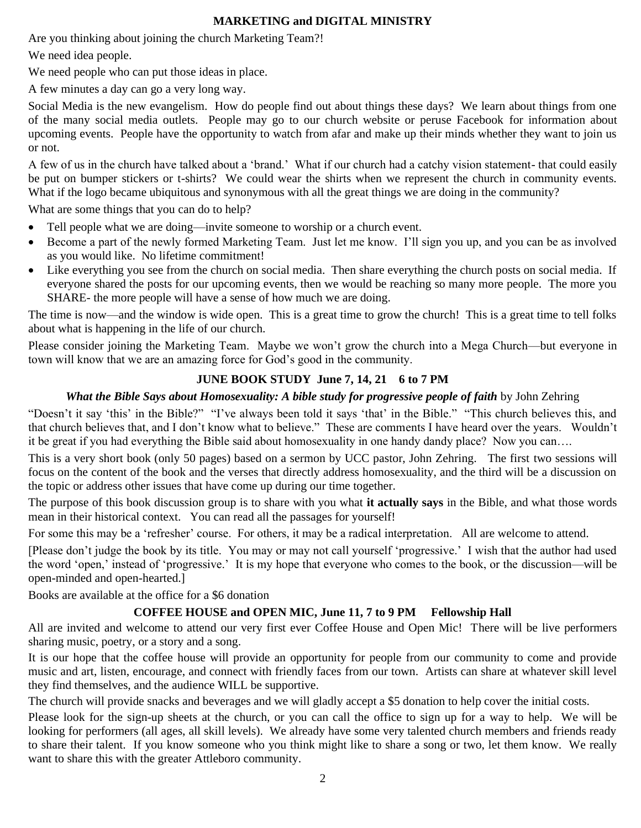### **MARKETING and DIGITAL MINISTRY**

Are you thinking about joining the church Marketing Team?!

We need idea people.

We need people who can put those ideas in place.

A few minutes a day can go a very long way.

Social Media is the new evangelism. How do people find out about things these days? We learn about things from one of the many social media outlets. People may go to our church website or peruse Facebook for information about upcoming events. People have the opportunity to watch from afar and make up their minds whether they want to join us or not.

A few of us in the church have talked about a 'brand.' What if our church had a catchy vision statement- that could easily be put on bumper stickers or t-shirts? We could wear the shirts when we represent the church in community events. What if the logo became ubiquitous and synonymous with all the great things we are doing in the community?

What are some things that you can do to help?

- Tell people what we are doing—invite someone to worship or a church event.
- Become a part of the newly formed Marketing Team. Just let me know. I'll sign you up, and you can be as involved as you would like. No lifetime commitment!
- Like everything you see from the church on social media. Then share everything the church posts on social media. If everyone shared the posts for our upcoming events, then we would be reaching so many more people. The more you SHARE- the more people will have a sense of how much we are doing.

The time is now—and the window is wide open. This is a great time to grow the church! This is a great time to tell folks about what is happening in the life of our church.

Please consider joining the Marketing Team. Maybe we won't grow the church into a Mega Church—but everyone in town will know that we are an amazing force for God's good in the community.

# **JUNE BOOK STUDY June 7, 14, 21 6 to 7 PM**

## *What the Bible Says about Homosexuality: A bible study for progressive people of faith* by John Zehring

"Doesn't it say 'this' in the Bible?" "I've always been told it says 'that' in the Bible." "This church believes this, and that church believes that, and I don't know what to believe." These are comments I have heard over the years. Wouldn't it be great if you had everything the Bible said about homosexuality in one handy dandy place? Now you can….

This is a very short book (only 50 pages) based on a sermon by UCC pastor, John Zehring. The first two sessions will focus on the content of the book and the verses that directly address homosexuality, and the third will be a discussion on the topic or address other issues that have come up during our time together.

The purpose of this book discussion group is to share with you what **it actually says** in the Bible, and what those words mean in their historical context. You can read all the passages for yourself!

For some this may be a 'refresher' course. For others, it may be a radical interpretation. All are welcome to attend.

[Please don't judge the book by its title. You may or may not call yourself 'progressive.' I wish that the author had used the word 'open,' instead of 'progressive.' It is my hope that everyone who comes to the book, or the discussion—will be open-minded and open-hearted.]

Books are available at the office for a \$6 donation

# **COFFEE HOUSE and OPEN MIC, June 11, 7 to 9 PM Fellowship Hall**

All are invited and welcome to attend our very first ever Coffee House and Open Mic! There will be live performers sharing music, poetry, or a story and a song.

It is our hope that the coffee house will provide an opportunity for people from our community to come and provide music and art, listen, encourage, and connect with friendly faces from our town. Artists can share at whatever skill level they find themselves, and the audience WILL be supportive.

The church will provide snacks and beverages and we will gladly accept a \$5 donation to help cover the initial costs.

Please look for the sign-up sheets at the church, or you can call the office to sign up for a way to help. We will be looking for performers (all ages, all skill levels). We already have some very talented church members and friends ready to share their talent. If you know someone who you think might like to share a song or two, let them know. We really want to share this with the greater Attleboro community.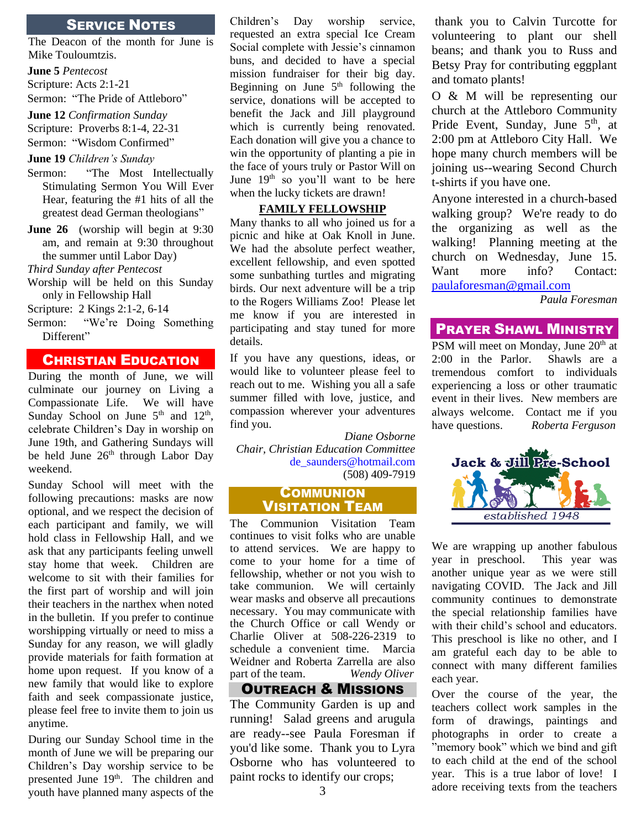## SERVICE NOTES

The Deacon of the month for June is Mike Touloumtzis.

**June 5** *Pentecost*

Scripture: Acts 2:1-21

Sermon: "The Pride of Attleboro"

**June 12** *Confirmation Sunday*  Scripture: Proverbs 8:1-4, 22-31 Sermon: "Wisdom Confirmed"

#### **June 19** *Children's Sunday*

- Sermon: "The Most Intellectually Stimulating Sermon You Will Ever Hear, featuring the #1 hits of all the greatest dead German theologians"
- **June 26** (worship will begin at 9:30) am, and remain at 9:30 throughout the summer until Labor Day)

*Third Sunday after Pentecost* 

Worship will be held on this Sunday only in Fellowship Hall

Scripture: 2 Kings 2:1-2, 6-14

Sermon: "We're Doing Something Different"

#### CHRISTIAN EDUCATION

During the month of June, we will culminate our journey on Living a Compassionate Life. We will have Sunday School on June  $5<sup>th</sup>$  and  $12<sup>th</sup>$ , celebrate Children's Day in worship on June 19th, and Gathering Sundays will be held June  $26<sup>th</sup>$  through Labor Day weekend.

Sunday School will meet with the following precautions: masks are now optional, and we respect the decision of each participant and family, we will hold class in Fellowship Hall, and we ask that any participants feeling unwell stay home that week. Children are welcome to sit with their families for the first part of worship and will join their teachers in the narthex when noted in the bulletin. If you prefer to continue worshipping virtually or need to miss a Sunday for any reason, we will gladly provide materials for faith formation at home upon request. If you know of a new family that would like to explore faith and seek compassionate justice, please feel free to invite them to join us anytime.

During our Sunday School time in the month of June we will be preparing our Children's Day worship service to be presented June 19<sup>th</sup>. The children and youth have planned many aspects of the

Children's Day worship service, requested an extra special Ice Cream Social complete with Jessie's cinnamon buns, and decided to have a special mission fundraiser for their big day. Beginning on June  $5<sup>th</sup>$  following the service, donations will be accepted to benefit the Jack and Jill playground which is currently being renovated. Each donation will give you a chance to win the opportunity of planting a pie in the face of yours truly or Pastor Will on June  $19<sup>th</sup>$  so you'll want to be here when the lucky tickets are drawn!

#### **FAMILY FELLOWSHIP**

Many thanks to all who joined us for a picnic and hike at Oak Knoll in June. We had the absolute perfect weather, excellent fellowship, and even spotted some sunbathing turtles and migrating birds. Our next adventure will be a trip to the Rogers Williams Zoo! Please let me know if you are interested in participating and stay tuned for more details.

If you have any questions, ideas, or would like to volunteer please feel to reach out to me. Wishing you all a safe summer filled with love, justice, and compassion wherever your adventures find you.

*Diane Osborne Chair, Christian Education Committee* [de\\_saunders@hotmail.com](mailto:e_saunders@hotmail.com) (508) 409-7919

#### **COMMUNION** VISITATION TEAM

The Communion Visitation Team continues to visit folks who are unable to attend services. We are happy to come to your home for a time of fellowship, whether or not you wish to take communion. We will certainly wear masks and observe all precautions necessary. You may communicate with the Church Office or call Wendy or Charlie Oliver at 508-226-2319 to schedule a convenient time. Marcia Weidner and Roberta Zarrella are also part of the team. *Wendy Oliver*

# OUTREACH & MISSIONS

The Community Garden is up and running! Salad greens and arugula are ready--see Paula Foresman if you'd like some. Thank you to Lyra Osborne who has volunteered to paint rocks to identify our crops;

thank you to Calvin Turcotte for volunteering to plant our shell beans; and thank you to Russ and Betsy Pray for contributing eggplant and tomato plants!

O & M will be representing our church at the Attleboro Community Pride Event, Sunday, June 5<sup>th</sup>, at 2:00 pm at Attleboro City Hall. We hope many church members will be joining us--wearing Second Church t-shirts if you have one.

Anyone interested in a church-based walking group? We're ready to do the organizing as well as the walking! Planning meeting at the church on Wednesday, June 15. Want more info? Contact: [paulaforesman@gmail.com](mailto:paulaforesman@gmail.com)

*Paula Foresman*

# PRAYER SHAWL MINISTRY

PSM will meet on Monday, June 20<sup>th</sup> at 2:00 in the Parlor. Shawls are a tremendous comfort to individuals experiencing a loss or other traumatic event in their lives. New members are always welcome. Contact me if you have questions. *Roberta Ferguson*



We are wrapping up another fabulous year in preschool. This year was another unique year as we were still navigating COVID. The Jack and Jill community continues to demonstrate the special relationship families have with their child's school and educators. This preschool is like no other, and I am grateful each day to be able to connect with many different families each year.

Over the course of the year, the teachers collect work samples in the form of drawings, paintings and photographs in order to create a "memory book" which we bind and gift to each child at the end of the school year. This is a true labor of love! I adore receiving texts from the teachers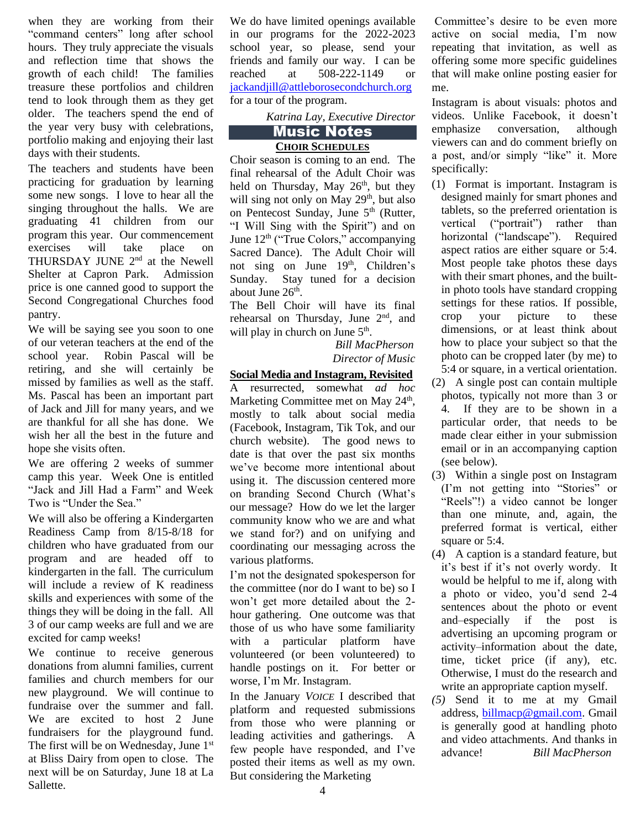when they are working from their "command centers" long after school hours. They truly appreciate the visuals and reflection time that shows the growth of each child! The families treasure these portfolios and children tend to look through them as they get older. The teachers spend the end of the year very busy with celebrations, portfolio making and enjoying their last days with their students.

The teachers and students have been practicing for graduation by learning some new songs. I love to hear all the singing throughout the halls. We are graduating 41 children from our program this year. Our commencement exercises will take place on THURSDAY JUNE 2nd at the Newell Shelter at Capron Park. Admission price is one canned good to support the Second Congregational Churches food pantry.

We will be saying see you soon to one of our veteran teachers at the end of the school year. Robin Pascal will be retiring, and she will certainly be missed by families as well as the staff. Ms. Pascal has been an important part of Jack and Jill for many years, and we are thankful for all she has done. We wish her all the best in the future and hope she visits often.

We are offering 2 weeks of summer camp this year. Week One is entitled "Jack and Jill Had a Farm" and Week Two is "Under the Sea."

We will also be offering a Kindergarten Readiness Camp from 8/15-8/18 for children who have graduated from our program and are headed off to kindergarten in the fall. The curriculum will include a review of K readiness skills and experiences with some of the things they will be doing in the fall. All 3 of our camp weeks are full and we are excited for camp weeks!

We continue to receive generous donations from alumni families, current families and church members for our new playground. We will continue to fundraise over the summer and fall. We are excited to host 2 June fundraisers for the playground fund. The first will be on Wednesday, June 1<sup>st</sup> at Bliss Dairy from open to close. The next will be on Saturday, June 18 at La Sallette.

We do have limited openings available in our programs for the 2022-2023 school year, so please, send your friends and family our way. I can be reached at 508-222-1149 or [jackandjill@attleborosecondchurch.org](mailto:jackandjill@attleborosecondchurch.org) for a tour of the program.

*Katrina Lay, Executive Director*

#### Music Notes

#### **CHOIR SCHEDULES**

Choir season is coming to an end. The final rehearsal of the Adult Choir was held on Thursday, May 26<sup>th</sup>, but they will sing not only on May 29<sup>th</sup>, but also on Pentecost Sunday, June 5<sup>th</sup> (Rutter, "I Will Sing with the Spirit") and on June  $12<sup>th</sup>$  ("True Colors," accompanying Sacred Dance). The Adult Choir will not sing on June 19<sup>th</sup>, Children's Sunday. Stay tuned for a decision about June 26<sup>th</sup>.

The Bell Choir will have its final rehearsal on Thursday, June 2<sup>nd</sup>, and will play in church on June  $5<sup>th</sup>$ .

> *Bill MacPherson Director of Music*

**Social Media and Instagram, Revisited** A resurrected, somewhat *ad hoc* Marketing Committee met on May 24<sup>th</sup>, mostly to talk about social media (Facebook, Instagram, Tik Tok, and our church website). The good news to date is that over the past six months we've become more intentional about using it. The discussion centered more on branding Second Church (What's our message? How do we let the larger community know who we are and what we stand for?) and on unifying and coordinating our messaging across the various platforms.

I'm not the designated spokesperson for the committee (nor do I want to be) so I won't get more detailed about the 2 hour gathering. One outcome was that those of us who have some familiarity with a particular platform have volunteered (or been volunteered) to handle postings on it. For better or worse, I'm Mr. Instagram.

In the January *VOICE* I described that platform and requested submissions from those who were planning or leading activities and gatherings. A few people have responded, and I've posted their items as well as my own. But considering the Marketing

Committee's desire to be even more active on social media, I'm now repeating that invitation, as well as offering some more specific guidelines that will make online posting easier for me.

Instagram is about visuals: photos and videos. Unlike Facebook, it doesn't emphasize conversation, although viewers can and do comment briefly on a post, and/or simply "like" it. More specifically:

- (1) Format is important. Instagram is designed mainly for smart phones and tablets, so the preferred orientation is vertical ("portrait") rather than horizontal ("landscape"). Required aspect ratios are either square or 5:4. Most people take photos these days with their smart phones, and the builtin photo tools have standard cropping settings for these ratios. If possible, crop your picture to these dimensions, or at least think about how to place your subject so that the photo can be cropped later (by me) to 5:4 or square, in a vertical orientation.
- (2) A single post can contain multiple photos, typically not more than 3 or 4. If they are to be shown in a particular order, that needs to be made clear either in your submission email or in an accompanying caption (see below).
- (3) Within a single post on Instagram (I'm not getting into "Stories" or "Reels"!) a video cannot be longer than one minute, and, again, the preferred format is vertical, either square or 5:4.
- (4) A caption is a standard feature, but it's best if it's not overly wordy. It would be helpful to me if, along with a photo or video, you'd send 2-4 sentences about the photo or event and–especially if the post is advertising an upcoming program or activity–information about the date, time, ticket price (if any), etc. Otherwise, I must do the research and write an appropriate caption myself.
- *(5)* Send it to me at my Gmail address, [billmacp@gmail.com.](mailto:billmacp@gmail.com) Gmail is generally good at handling photo and video attachments. And thanks in advance! *Bill MacPherson*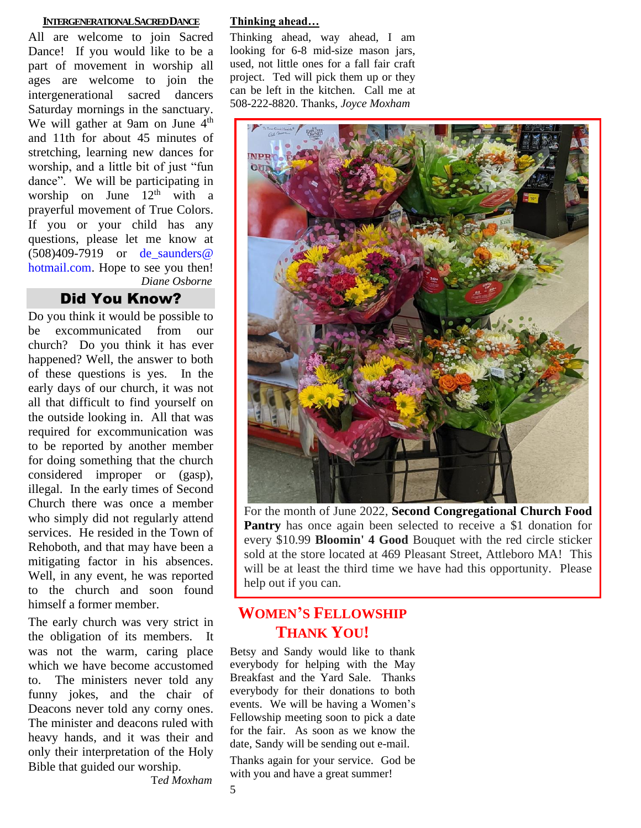#### **INTERGENERATIONAL SACRED DANCE**

All are welcome to join Sacred Dance! If you would like to be a part of movement in worship all ages are welcome to join the intergenerational sacred dancers Saturday mornings in the sanctuary. We will gather at 9am on June  $4<sup>th</sup>$ and 11th for about 45 minutes of stretching, learning new dances for worship, and a little bit of just "fun dance". We will be participating in worship on June  $12<sup>th</sup>$  with a prayerful movement of True Colors. If you or your child has any questions, please let me know at (508)409-7919 or [de\\_saunders@](mailto:de_saunders@hotmail.com)  [hotmail.com.](mailto:de_saunders@hotmail.com) Hope to see you then! *Diane Osborne*

# Did You Know?

Do you think it would be possible to be excommunicated from our church? Do you think it has ever happened? Well, the answer to both of these questions is yes. In the early days of our church, it was not all that difficult to find yourself on the outside looking in. All that was required for excommunication was to be reported by another member for doing something that the church considered improper or (gasp), illegal. In the early times of Second Church there was once a member who simply did not regularly attend services. He resided in the Town of Rehoboth, and that may have been a mitigating factor in his absences. Well, in any event, he was reported to the church and soon found himself a former member.

The early church was very strict in the obligation of its members. It was not the warm, caring place which we have become accustomed to. The ministers never told any funny jokes, and the chair of Deacons never told any corny ones. The minister and deacons ruled with heavy hands, and it was their and only their interpretation of the Holy Bible that guided our worship.

T*ed Moxham*

#### **Thinking ahead…**

Thinking ahead, way ahead, I am looking for 6-8 mid-size mason jars, used, not little ones for a fall fair craft project. Ted will pick them up or they can be left in the kitchen. Call me at 508-222-8820. Thanks, *Joyce Moxham*



For the month of June 2022, **Second Congregational Church Food Pantry** has once again been selected to receive a \$1 donation for every \$10.99 **Bloomin' 4 Good** Bouquet with the red circle sticker sold at the store located at 469 Pleasant Street, Attleboro MA! This will be at least the third time we have had this opportunity. Please help out if you can.

# **WOMEN'S FELLOWSHIP THANK YOU!**

Betsy and Sandy would like to thank everybody for helping with the May Breakfast and the Yard Sale. Thanks everybody for their donations to both events. We will be having a Women's Fellowship meeting soon to pick a date for the fair. As soon as we know the date, Sandy will be sending out e-mail.

Thanks again for your service. God be with you and have a great summer!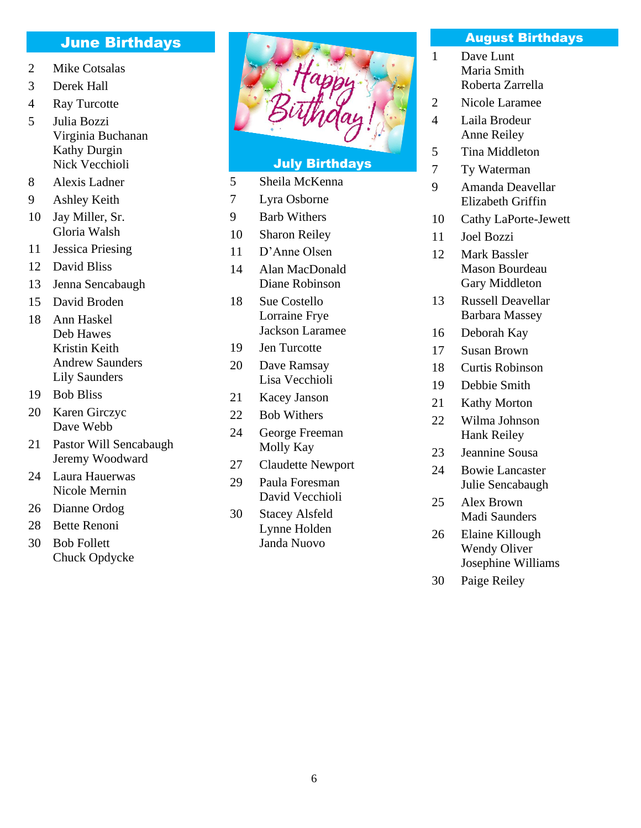# June Birthdays

- Mike Cotsalas
- Derek Hall
- Ray Turcotte
- Julia Bozzi Virginia Buchanan Kathy Durgin Nick Vecchioli
- Alexis Ladner
- Ashley Keith
- Jay Miller, Sr. Gloria Walsh
- Jessica Priesing
- David Bliss
- Jenna Sencabaugh
- David Broden
- Ann Haskel Deb Hawes Kristin Keith Andrew Saunders Lily Saunders
- Bob Bliss
- Karen Girczyc Dave Webb
- Pastor Will Sencabaugh Jeremy Woodward
- Laura Hauerwas Nicole Mernin
- Dianne Ordog
- Bette Renoni
- Bob Follett Chuck Opdycke



#### July Birthdays

- Sheila McKenna
- Lyra Osborne
- Barb Withers
- Sharon Reiley
- D'Anne Olsen
- Alan MacDonald Diane Robinson
- Sue Costello Lorraine Frye Jackson Laramee
- Jen Turcotte
- Dave Ramsay Lisa Vecchioli
- Kacey Janson
- Bob Withers
- George Freeman Molly Kay
- Claudette Newport
- Paula Foresman David Vecchioli
- Stacey Alsfeld Lynne Holden Janda Nuovo

#### August Birthdays

- Dave Lunt Maria Smith Roberta Zarrella
- Nicole Laramee
- Laila Brodeur Anne Reiley
- Tina Middleton
- Ty Waterman
- Amanda Deavellar Elizabeth Griffin
- Cathy LaPorte-Jewett
- Joel Bozzi
- Mark Bassler Mason Bourdeau Gary Middleton
- Russell Deavellar Barbara Massey
- Deborah Kay
- Susan Brown
- Curtis Robinson
- Debbie Smith
- Kathy Morton
- Wilma Johnson Hank Reiley
- Jeannine Sousa
- Bowie Lancaster Julie Sencabaugh
- Alex Brown Madi Saunders
- Elaine Killough Wendy Oliver Josephine Williams
- Paige Reiley